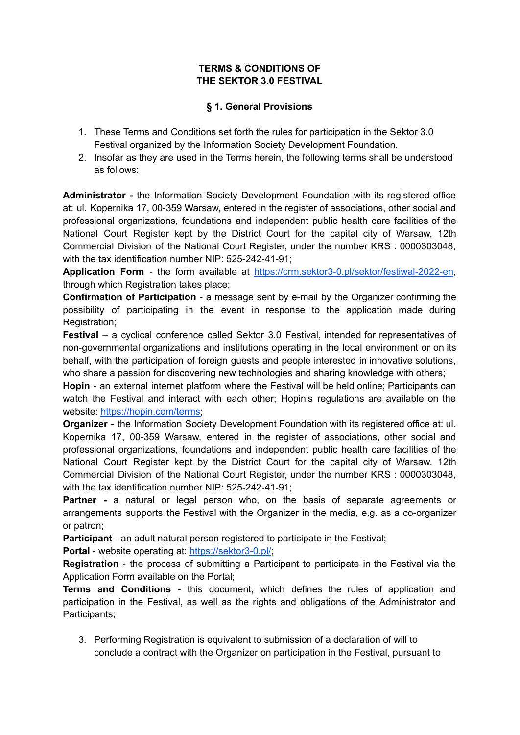#### **TERMS & CONDITIONS OF THE SEKTOR 3.0 FESTIVAL**

#### **§ 1. General Provisions**

- 1. These Terms and Conditions set forth the rules for participation in the Sektor 3.0 Festival organized by the Information Society Development Foundation.
- 2. Insofar as they are used in the Terms herein, the following terms shall be understood as follows:

**Administrator -** the Information Society Development Foundation with its registered office at: ul. Kopernika 17, 00-359 Warsaw, entered in the register of associations, other social and professional organizations, foundations and independent public health care facilities of the National Court Register kept by the District Court for the capital city of Warsaw, 12th Commercial Division of the National Court Register, under the number KRS : 0000303048, with the tax identification number NIP: 525-242-41-91;

**Application Form** - the form available at [https://crm.sektor3-0.pl/sektor/festiwal-2022-en,](https://crm.sektor3-0.pl/sektor/festiwal-2022-en) through which Registration takes place;

**Confirmation of Participation** - a message sent by e-mail by the Organizer confirming the possibility of participating in the event in response to the application made during Registration;

**Festival** – a cyclical conference called Sektor 3.0 Festival, intended for representatives of non-governmental organizations and institutions operating in the local environment or on its behalf, with the participation of foreign guests and people interested in innovative solutions, who share a passion for discovering new technologies and sharing knowledge with others;

**Hopin** - an external internet platform where the Festival will be held online; Participants can watch the Festival and interact with each other; Hopin's regulations are available on the website: [https://hopin.com/terms;](https://hopin.com/terms)

**Organizer** - the Information Society Development Foundation with its registered office at: ul. Kopernika 17, 00-359 Warsaw, entered in the register of associations, other social and professional organizations, foundations and independent public health care facilities of the National Court Register kept by the District Court for the capital city of Warsaw, 12th Commercial Division of the National Court Register, under the number KRS : 0000303048, with the tax identification number NIP: 525-242-41-91;

**Partner -** a natural or legal person who, on the basis of separate agreements or arrangements supports the Festival with the Organizer in the media, e.g. as a co-organizer or patron;

**Participant** - an adult natural person registered to participate in the Festival;

**Portal** - website operating at: [https://sektor3-0.pl/;](https://sektor3-0.pl/)

**Registration** - the process of submitting a Participant to participate in the Festival via the Application Form available on the Portal;

**Terms and Conditions** - this document, which defines the rules of application and participation in the Festival, as well as the rights and obligations of the Administrator and Participants;

3. Performing Registration is equivalent to submission of a declaration of will to conclude a contract with the Organizer on participation in the Festival, pursuant to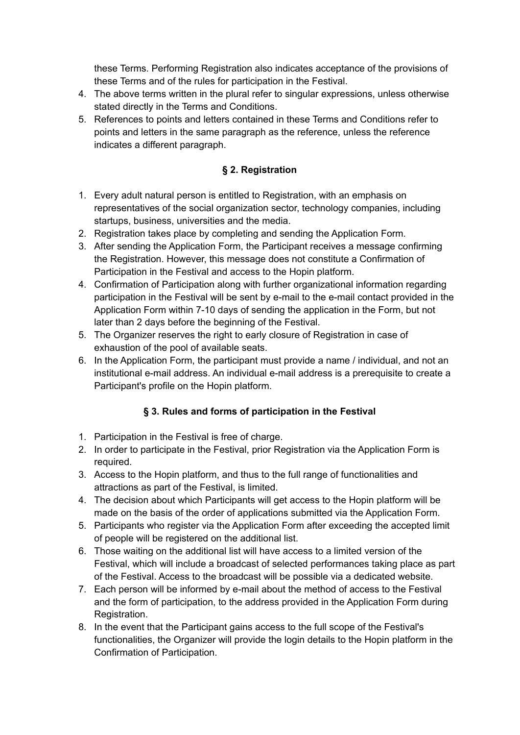these Terms. Performing Registration also indicates acceptance of the provisions of these Terms and of the rules for participation in the Festival.

- 4. The above terms written in the plural refer to singular expressions, unless otherwise stated directly in the Terms and Conditions.
- 5. References to points and letters contained in these Terms and Conditions refer to points and letters in the same paragraph as the reference, unless the reference indicates a different paragraph.

### **§ 2. Registration**

- 1. Every adult natural person is entitled to Registration, with an emphasis on representatives of the social organization sector, technology companies, including startups, business, universities and the media.
- 2. Registration takes place by completing and sending the Application Form.
- 3. After sending the Application Form, the Participant receives a message confirming the Registration. However, this message does not constitute a Confirmation of Participation in the Festival and access to the Hopin platform.
- 4. Confirmation of Participation along with further organizational information regarding participation in the Festival will be sent by e-mail to the e-mail contact provided in the Application Form within 7-10 days of sending the application in the Form, but not later than 2 days before the beginning of the Festival.
- 5. The Organizer reserves the right to early closure of Registration in case of exhaustion of the pool of available seats.
- 6. In the Application Form, the participant must provide a name / individual, and not an institutional e-mail address. An individual e-mail address is a prerequisite to create a Participant's profile on the Hopin platform.

# **§ 3. Rules and forms of participation in the Festival**

- 1. Participation in the Festival is free of charge.
- 2. In order to participate in the Festival, prior Registration via the Application Form is required.
- 3. Access to the Hopin platform, and thus to the full range of functionalities and attractions as part of the Festival, is limited.
- 4. The decision about which Participants will get access to the Hopin platform will be made on the basis of the order of applications submitted via the Application Form.
- 5. Participants who register via the Application Form after exceeding the accepted limit of people will be registered on the additional list.
- 6. Those waiting on the additional list will have access to a limited version of the Festival, which will include a broadcast of selected performances taking place as part of the Festival. Access to the broadcast will be possible via a dedicated website.
- 7. Each person will be informed by e-mail about the method of access to the Festival and the form of participation, to the address provided in the Application Form during Registration.
- 8. In the event that the Participant gains access to the full scope of the Festival's functionalities, the Organizer will provide the login details to the Hopin platform in the Confirmation of Participation.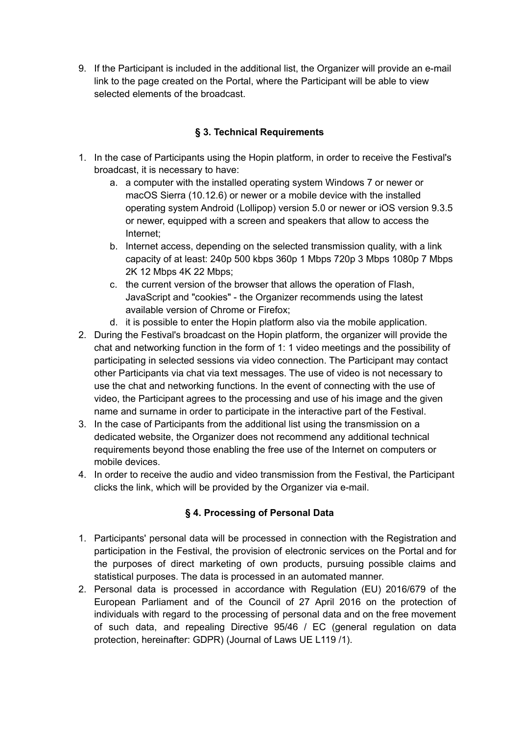9. If the Participant is included in the additional list, the Organizer will provide an e-mail link to the page created on the Portal, where the Participant will be able to view selected elements of the broadcast.

# **§ 3. Technical Requirements**

- 1. In the case of Participants using the Hopin platform, in order to receive the Festival's broadcast, it is necessary to have:
	- a. a computer with the installed operating system Windows 7 or newer or macOS Sierra (10.12.6) or newer or a mobile device with the installed operating system Android (Lollipop) version 5.0 or newer or iOS version 9.3.5 or newer, equipped with a screen and speakers that allow to access the Internet;
	- b. Internet access, depending on the selected transmission quality, with a link capacity of at least: 240p 500 kbps 360p 1 Mbps 720p 3 Mbps 1080p 7 Mbps 2K 12 Mbps 4K 22 Mbps;
	- c. the current version of the browser that allows the operation of Flash, JavaScript and "cookies" - the Organizer recommends using the latest available version of Chrome or Firefox;
	- d. it is possible to enter the Hopin platform also via the mobile application.
- 2. During the Festival's broadcast on the Hopin platform, the organizer will provide the chat and networking function in the form of 1: 1 video meetings and the possibility of participating in selected sessions via video connection. The Participant may contact other Participants via chat via text messages. The use of video is not necessary to use the chat and networking functions. In the event of connecting with the use of video, the Participant agrees to the processing and use of his image and the given name and surname in order to participate in the interactive part of the Festival.
- 3. In the case of Participants from the additional list using the transmission on a dedicated website, the Organizer does not recommend any additional technical requirements beyond those enabling the free use of the Internet on computers or mobile devices.
- 4. In order to receive the audio and video transmission from the Festival, the Participant clicks the link, which will be provided by the Organizer via e-mail.

# **§ 4. Processing of Personal Data**

- 1. Participants' personal data will be processed in connection with the Registration and participation in the Festival, the provision of electronic services on the Portal and for the purposes of direct marketing of own products, pursuing possible claims and statistical purposes. The data is processed in an automated manner.
- 2. Personal data is processed in accordance with Regulation (EU) 2016/679 of the European Parliament and of the Council of 27 April 2016 on the protection of individuals with regard to the processing of personal data and on the free movement of such data, and repealing Directive 95/46 / EC (general regulation on data protection, hereinafter: GDPR) (Journal of Laws UE L119 /1).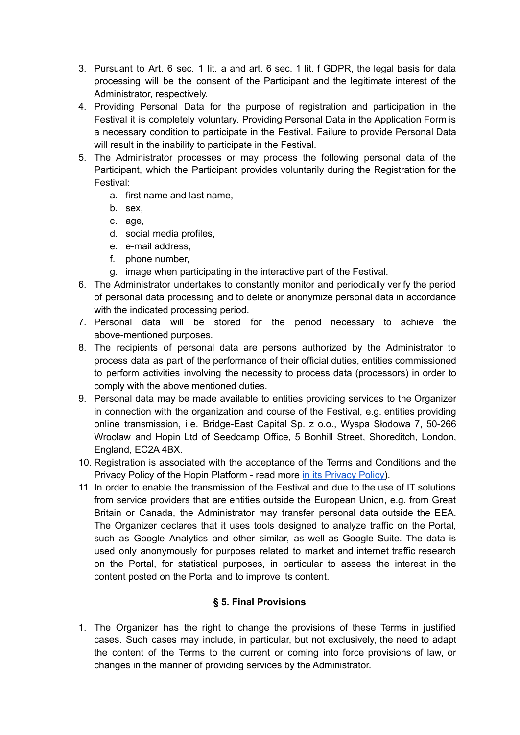- 3. Pursuant to Art. 6 sec. 1 lit. a and art. 6 sec. 1 lit. f GDPR, the legal basis for data processing will be the consent of the Participant and the legitimate interest of the Administrator, respectively.
- 4. Providing Personal Data for the purpose of registration and participation in the Festival it is completely voluntary. Providing Personal Data in the Application Form is a necessary condition to participate in the Festival. Failure to provide Personal Data will result in the inability to participate in the Festival.
- 5. The Administrator processes or may process the following personal data of the Participant, which the Participant provides voluntarily during the Registration for the Festival:
	- a. first name and last name,
	- b. sex,
	- c. age,
	- d. social media profiles,
	- e. e-mail address,
	- f. phone number,
	- g. image when participating in the interactive part of the Festival.
- 6. The Administrator undertakes to constantly monitor and periodically verify the period of personal data processing and to delete or anonymize personal data in accordance with the indicated processing period.
- 7. Personal data will be stored for the period necessary to achieve the above-mentioned purposes.
- 8. The recipients of personal data are persons authorized by the Administrator to process data as part of the performance of their official duties, entities commissioned to perform activities involving the necessity to process data (processors) in order to comply with the above mentioned duties.
- 9. Personal data may be made available to entities providing services to the Organizer in connection with the organization and course of the Festival, e.g. entities providing online transmission, i.e. Bridge-East Capital Sp. z o.o., Wyspa Słodowa 7, 50-266 Wrocław and Hopin Ltd of Seedcamp Office, 5 Bonhill Street, Shoreditch, London, England, EC2A 4BX.
- 10. Registration is associated with the acceptance of the Terms and Conditions and the Privacy Policy of the Hopin Platform - read more in its [Privacy](https://hopin.to/privacy) Policy).
- 11. In order to enable the transmission of the Festival and due to the use of IT solutions from service providers that are entities outside the European Union, e.g. from Great Britain or Canada, the Administrator may transfer personal data outside the EEA. The Organizer declares that it uses tools designed to analyze traffic on the Portal, such as Google Analytics and other similar, as well as Google Suite. The data is used only anonymously for purposes related to market and internet traffic research on the Portal, for statistical purposes, in particular to assess the interest in the content posted on the Portal and to improve its content.

#### **§ 5. Final Provisions**

1. The Organizer has the right to change the provisions of these Terms in justified cases. Such cases may include, in particular, but not exclusively, the need to adapt the content of the Terms to the current or coming into force provisions of law, or changes in the manner of providing services by the Administrator.